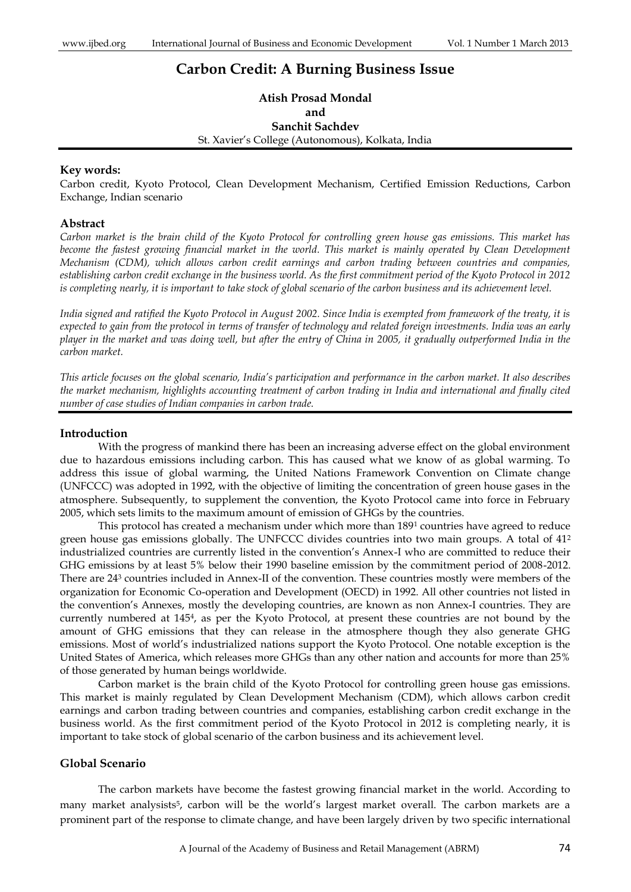# **Carbon Credit: A Burning Business Issue**

**Atish Prosad Mondal and Sanchit Sachdev**

St. Xavier's College (Autonomous), Kolkata, India

# **Key words:**

Carbon credit, Kyoto Protocol, Clean Development Mechanism, Certified Emission Reductions, Carbon Exchange, Indian scenario

#### **Abstract**

*Carbon market is the brain child of the Kyoto Protocol for controlling green house gas emissions. This market has become the fastest growing financial market in the world. This market is mainly operated by Clean Development Mechanism (CDM), which allows carbon credit earnings and carbon trading between countries and companies, establishing carbon credit exchange in the business world. As the first commitment period of the Kyoto Protocol in 2012 is completing nearly, it is important to take stock of global scenario of the carbon business and its achievement level.* 

*India signed and ratified the Kyoto Protocol in August 2002. Since India is exempted from framework of the treaty, it is expected to gain from the protocol in terms of transfer of technology and related foreign investments. India was an early player in the market and was doing well, but after the entry of China in 2005, it gradually outperformed India in the carbon market.*

*This article focuses on the global scenario, India's participation and performance in the carbon market. It also describes the market mechanism, highlights accounting treatment of carbon trading in India and international and finally cited number of case studies of Indian companies in carbon trade.* 

#### **Introduction**

With the progress of mankind there has been an increasing adverse effect on the global environment due to hazardous emissions including carbon. This has caused what we know of as global warming. To address this issue of global warming, the United Nations Framework Convention on Climate change (UNFCCC) was adopted in 1992, with the objective of limiting the concentration of green house gases in the atmosphere. Subsequently, to supplement the convention, the Kyoto Protocol came into force in February 2005, which sets limits to the maximum amount of emission of GHGs by the countries.

This protocol has created a mechanism under which more than 189<sup>1</sup> countries have agreed to reduce green house gas emissions globally. The UNFCCC divides countries into two main groups. A total of 41<sup>2</sup> industrialized countries are currently listed in the convention's Annex-I who are committed to reduce their GHG emissions by at least 5% below their 1990 baseline emission by the commitment period of 2008-2012. There are 24<sup>3</sup> countries included in Annex-II of the convention. These countries mostly were members of the organization for Economic Co-operation and Development (OECD) in 1992. All other countries not listed in the convention's Annexes, mostly the developing countries, are known as non Annex-I countries. They are currently numbered at 145<sup>4</sup> , as per the Kyoto Protocol, at present these countries are not bound by the amount of GHG emissions that they can release in the atmosphere though they also generate GHG emissions. Most of world's industrialized nations support the Kyoto Protocol. One notable exception is the United States of America, which releases more GHGs than any other nation and accounts for more than 25% of those generated by human beings worldwide.

Carbon market is the brain child of the Kyoto Protocol for controlling green house gas emissions. This market is mainly regulated by Clean Development Mechanism (CDM), which allows carbon credit earnings and carbon trading between countries and companies, establishing carbon credit exchange in the business world. As the first commitment period of the Kyoto Protocol in 2012 is completing nearly, it is important to take stock of global scenario of the carbon business and its achievement level.

#### **Global Scenario**

The carbon markets have become the fastest growing financial market in the world. According to many market analysists<sup>5</sup>, carbon will be the world's largest market overall. The carbon markets are a prominent part of the response to climate change, and have been largely driven by two specific international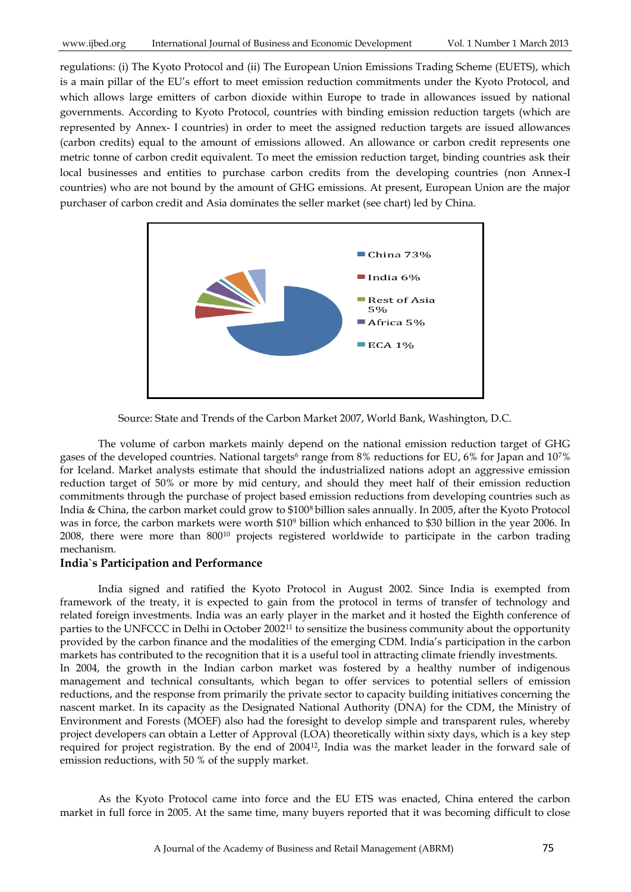regulations: (i) The Kyoto Protocol and (ii) The European Union Emissions Trading Scheme (EUETS), which is a main pillar of the EU's effort to meet emission reduction commitments under the Kyoto Protocol, and which allows large emitters of carbon dioxide within Europe to trade in allowances issued by national governments. According to Kyoto Protocol, countries with binding emission reduction targets (which are represented by Annex- I countries) in order to meet the assigned reduction targets are issued allowances (carbon credits) equal to the amount of emissions allowed. An allowance or carbon credit represents one metric tonne of carbon credit equivalent. To meet the emission reduction target, binding countries ask their local businesses and entities to purchase carbon credits from the developing countries (non Annex-I countries) who are not bound by the amount of GHG emissions. At present, European Union are the major purchaser of carbon credit and Asia dominates the seller market (see chart) led by China.



Source: State and Trends of the Carbon Market 2007, World Bank, Washington, D.C.

The volume of carbon markets mainly depend on the national emission reduction target of GHG gases of the developed countries. National targets<sup>6</sup> range from 8% reductions for EU, 6% for Japan and  $10<sup>7</sup>$ % for Iceland. Market analysts estimate that should the industrialized nations adopt an aggressive emission reduction target of 50% or more by mid century, and should they meet half of their emission reduction commitments through the purchase of project based emission reductions from developing countries such as India & China, the carbon market could grow to \$1008 billion sales annually. In 2005, after the Kyoto Protocol was in force, the carbon markets were worth \$10<sup>9</sup> billion which enhanced to \$30 billion in the year 2006. In 2008, there were more than 800<sup>10</sup> projects registered worldwide to participate in the carbon trading mechanism.

# **India`s Participation and Performance**

India signed and ratified the Kyoto Protocol in August 2002. Since India is exempted from framework of the treaty, it is expected to gain from the protocol in terms of transfer of technology and related foreign investments. India was an early player in the market and it hosted the Eighth conference of parties to the UNFCCC in Delhi in October 2002<sup>11</sup> to sensitize the business community about the opportunity provided by the carbon finance and the modalities of the emerging CDM. India's participation in the carbon markets has contributed to the recognition that it is a useful tool in attracting climate friendly investments. In 2004, the growth in the Indian carbon market was fostered by a healthy number of indigenous management and technical consultants, which began to offer services to potential sellers of emission reductions, and the response from primarily the private sector to capacity building initiatives concerning the nascent market. In its capacity as the Designated National Authority (DNA) for the CDM, the Ministry of Environment and Forests (MOEF) also had the foresight to develop simple and transparent rules, whereby project developers can obtain a Letter of Approval (LOA) theoretically within sixty days, which is a key step required for project registration. By the end of 200412, India was the market leader in the forward sale of emission reductions, with 50 % of the supply market.

As the Kyoto Protocol came into force and the EU ETS was enacted, China entered the carbon market in full force in 2005. At the same time, many buyers reported that it was becoming difficult to close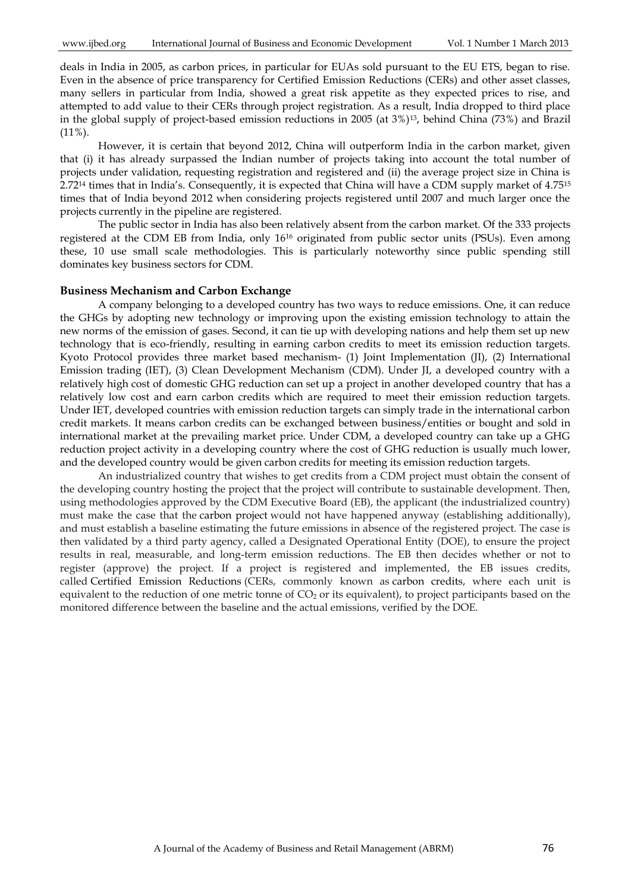deals in India in 2005, as carbon prices, in particular for EUAs sold pursuant to the EU ETS, began to rise. Even in the absence of price transparency for Certified Emission Reductions (CERs) and other asset classes, many sellers in particular from India, showed a great risk appetite as they expected prices to rise, and attempted to add value to their CERs through project registration. As a result, India dropped to third place in the global supply of project-based emission reductions in 2005 (at 3%)13, behind China (73%) and Brazil  $(11\%).$ 

However, it is certain that beyond 2012, China will outperform India in the carbon market, given that (i) it has already surpassed the Indian number of projects taking into account the total number of projects under validation, requesting registration and registered and (ii) the average project size in China is 2.72<sup>14</sup> times that in India's. Consequently, it is expected that China will have a CDM supply market of 4.75<sup>15</sup> times that of India beyond 2012 when considering projects registered until 2007 and much larger once the projects currently in the pipeline are registered.

The public sector in India has also been relatively absent from the carbon market. Of the 333 projects registered at the CDM EB from India, only 16<sup>16</sup> originated from public sector units (PSUs). Even among these, 10 use small scale methodologies. This is particularly noteworthy since public spending still dominates key business sectors for CDM.

#### **Business Mechanism and Carbon Exchange**

A company belonging to a developed country has two ways to reduce emissions. One, it can reduce the GHGs by adopting new technology or improving upon the existing emission technology to attain the new norms of the emission of gases. Second, it can tie up with developing nations and help them set up new technology that is eco-friendly, resulting in earning carbon credits to meet its emission reduction targets. Kyoto Protocol provides three market based mechanism- (1) Joint Implementation (JI), (2) International Emission trading (IET), (3) Clean Development Mechanism (CDM). Under JI, a developed country with a relatively high cost of domestic GHG reduction can set up a project in another developed country that has a relatively low cost and earn carbon credits which are required to meet their emission reduction targets. Under IET, developed countries with emission reduction targets can simply trade in the international carbon credit markets. It means carbon credits can be exchanged between business/entities or bought and sold in international market at the prevailing market price. Under CDM, a developed country can take up a GHG reduction project activity in a developing country where the cost of GHG reduction is usually much lower, and the developed country would be given carbon credits for meeting its emission reduction targets.

An industrialized country that wishes to get credits from a CDM project must obtain the consent of the developing country hosting the project that the project will contribute to sustainable development. Then, using methodologies approved by the CDM Executive Board (EB), the applicant (the industrialized country) must make the case that the [carbon project](http://en.wikipedia.org/wiki/Carbon_project) would not have happened anyway (establishing additionally), and must establish a baseline estimating the future emissions in absence of the registered project. The case is then validated by a third party agency, called a Designated Operational Entity (DOE), to ensure the project results in real, measurable, and long-term emission reductions. The EB then decides whether or not to register (approve) the project. If a project is registered and implemented, the EB issues credits, called [Certified Emission Reductions](http://en.wikipedia.org/wiki/Certified_Emission_Reduction) (CERs, commonly known as [carbon credits,](http://en.wikipedia.org/wiki/Carbon_credit) where each unit is equivalent to the reduction of one metric tonne of  $CO<sub>2</sub>$  or its equivalent), to project participants based on the monitored difference between the baseline and the actual emissions, verified by the DOE.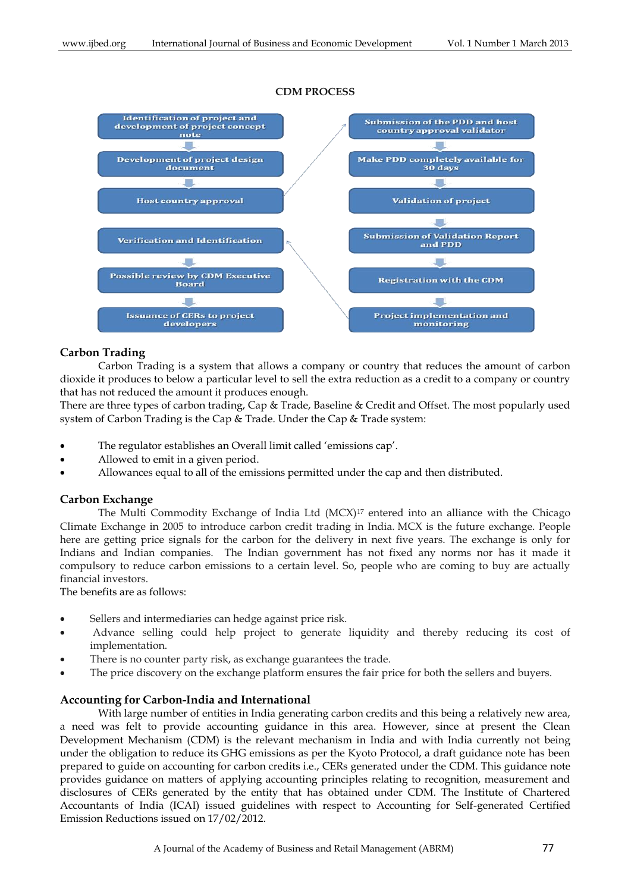

# **CDM PROCESS**

# **Carbon Trading**

Carbon Trading is a system that allows a company or country that reduces the amount of carbon dioxide it produces to below a particular level to sell the extra reduction as a credit to a company or country that has not reduced the amount it produces enough.

There are three types of carbon trading, Cap & Trade, Baseline & Credit and Offset. The most popularly used system of Carbon Trading is the Cap & Trade. Under the Cap & Trade system:

- The regulator establishes an Overall limit called 'emissions cap'.
- Allowed to emit in a given period.
- Allowances equal to all of the emissions permitted under the cap and then distributed.

## **Carbon Exchange**

The Multi Commodity Exchange of India Ltd  $(MCX)^{17}$  entered into an alliance with the Chicago Climate Exchange in 2005 to introduce carbon credit trading in India. MCX is the future exchange. People here are getting price signals for the carbon for the delivery in next five years. The exchange is only for Indians and Indian companies. The Indian government has not fixed any norms nor has it made it compulsory to reduce carbon emissions to a certain level. So, people who are coming to buy are actually financial investors.

The benefits are as follows:

- Sellers and intermediaries can hedge against price risk.
- Advance selling could help project to generate liquidity and thereby reducing its cost of implementation.
- There is no counter party risk, as exchange guarantees the trade.
- The price discovery on the exchange platform ensures the fair price for both the sellers and buyers.

## **Accounting for Carbon-India and International**

With large number of entities in India generating carbon credits and this being a relatively new area, a need was felt to provide accounting guidance in this area. However, since at present the Clean Development Mechanism (CDM) is the relevant mechanism in India and with India currently not being under the obligation to reduce its GHG emissions as per the Kyoto Protocol, a draft guidance note has been prepared to guide on accounting for carbon credits i.e., CERs generated under the CDM. This guidance note provides guidance on matters of applying accounting principles relating to recognition, measurement and disclosures of CERs generated by the entity that has obtained under CDM. The Institute of Chartered Accountants of India (ICAI) issued guidelines with respect to Accounting for Self-generated Certified Emission Reductions issued on 17/02/2012.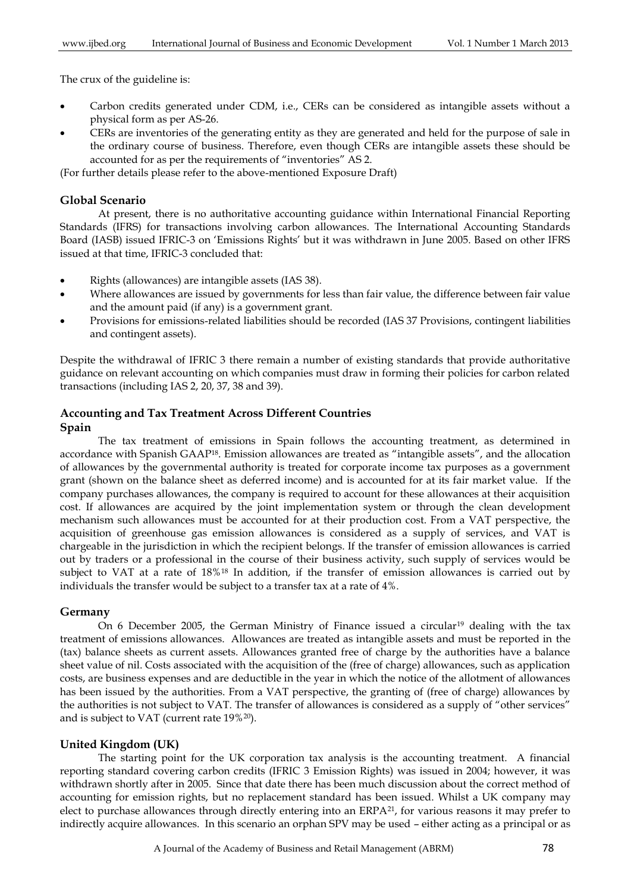The crux of the guideline is:

- Carbon credits generated under CDM, i.e., CERs can be considered as intangible assets without a physical form as per AS-26.
- CERs are inventories of the generating entity as they are generated and held for the purpose of sale in the ordinary course of business. Therefore, even though CERs are intangible assets these should be accounted for as per the requirements of "inventories" AS 2.

(For further details please refer to the above-mentioned Exposure Draft)

# **Global Scenario**

At present, there is no authoritative accounting guidance within International Financial Reporting Standards (IFRS) for transactions involving carbon allowances. The International Accounting Standards Board (IASB) issued IFRIC-3 on 'Emissions Rights' but it was withdrawn in June 2005. Based on other IFRS issued at that time, IFRIC-3 concluded that:

- Rights (allowances) are intangible assets (IAS 38).
- Where allowances are issued by governments for less than fair value, the difference between fair value and the amount paid (if any) is a government grant.
- Provisions for emissions-related liabilities should be recorded (IAS 37 Provisions, contingent liabilities and contingent assets).

Despite the withdrawal of IFRIC 3 there remain a number of existing standards that provide authoritative guidance on relevant accounting on which companies must draw in forming their policies for carbon related transactions (including IAS 2, 20, 37, 38 and 39).

# **Accounting and Tax Treatment Across Different Countries**

## **Spain**

The tax treatment of emissions in Spain follows the accounting treatment, as determined in accordance with Spanish GAAP18. Emission allowances are treated as "intangible assets", and the allocation of allowances by the governmental authority is treated for corporate income tax purposes as a government grant (shown on the balance sheet as deferred income) and is accounted for at its fair market value. If the company purchases allowances, the company is required to account for these allowances at their acquisition cost. If allowances are acquired by the joint implementation system or through the clean development mechanism such allowances must be accounted for at their production cost. From a VAT perspective, the acquisition of greenhouse gas emission allowances is considered as a supply of services, and VAT is chargeable in the jurisdiction in which the recipient belongs. If the transfer of emission allowances is carried out by traders or a professional in the course of their business activity, such supply of services would be subject to VAT at a rate of 18%<sup>18</sup> In addition, if the transfer of emission allowances is carried out by individuals the transfer would be subject to a transfer tax at a rate of 4%.

## **Germany**

On 6 December 2005, the German Ministry of Finance issued a circular<sup>19</sup> dealing with the tax treatment of emissions allowances. Allowances are treated as intangible assets and must be reported in the (tax) balance sheets as current assets. Allowances granted free of charge by the authorities have a balance sheet value of nil. Costs associated with the acquisition of the (free of charge) allowances, such as application costs, are business expenses and are deductible in the year in which the notice of the allotment of allowances has been issued by the authorities. From a VAT perspective, the granting of (free of charge) allowances by the authorities is not subject to VAT. The transfer of allowances is considered as a supply of "other services" and is subject to VAT (current rate 19%<sup>20</sup>).

## **United Kingdom (UK)**

The starting point for the UK corporation tax analysis is the accounting treatment. A financial reporting standard covering carbon credits (IFRIC 3 Emission Rights) was issued in 2004; however, it was withdrawn shortly after in 2005. Since that date there has been much discussion about the correct method of accounting for emission rights, but no replacement standard has been issued. Whilst a UK company may elect to purchase allowances through directly entering into an ERPA<sup>21</sup>, for various reasons it may prefer to indirectly acquire allowances. In this scenario an orphan SPV may be used – either acting as a principal or as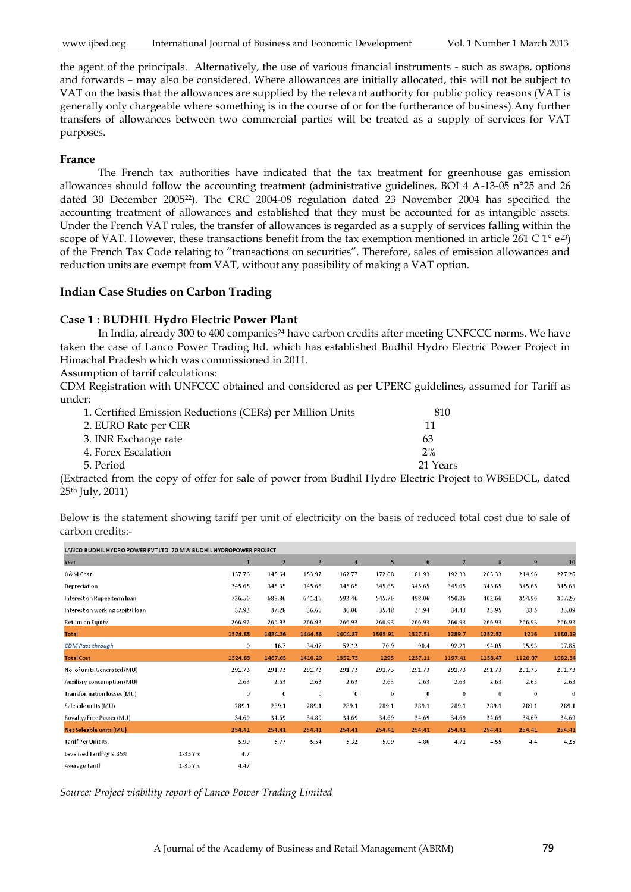the agent of the principals. Alternatively, the use of various financial instruments - such as swaps, options and forwards – may also be considered. Where allowances are initially allocated, this will not be subject to VAT on the basis that the allowances are supplied by the relevant authority for public policy reasons (VAT is generally only chargeable where something is in the course of or for the furtherance of business).Any further transfers of allowances between two commercial parties will be treated as a supply of services for VAT purposes.

#### **France**

The French tax authorities have indicated that the tax treatment for greenhouse gas emission allowances should follow the accounting treatment (administrative guidelines, BOI 4 A-13-05 n°25 and 26 dated 30 December 200522). The CRC 2004-08 regulation dated 23 November 2004 has specified the accounting treatment of allowances and established that they must be accounted for as intangible assets. Under the French VAT rules, the transfer of allowances is regarded as a supply of services falling within the scope of VAT. However, these transactions benefit from the tax exemption mentioned in article 261 C 1° e<sup>23</sup>) of the French Tax Code relating to "transactions on securities". Therefore, sales of emission allowances and reduction units are exempt from VAT, without any possibility of making a VAT option.

#### **Indian Case Studies on Carbon Trading**

#### **Case 1 : BUDHIL Hydro Electric Power Plant**

In India, already 300 to 400 companies<sup>24</sup> have carbon credits after meeting UNFCCC norms. We have taken the case of Lanco Power Trading ltd. which has established Budhil Hydro Electric Power Project in Himachal Pradesh which was commissioned in 2011.

Assumption of tarrif calculations:

CDM Registration with UNFCCC obtained and considered as per UPERC guidelines, assumed for Tariff as under:

| 1. Certified Emission Reductions (CERs) per Million Units | 810      |
|-----------------------------------------------------------|----------|
| 2. EURO Rate per CER                                      | 11       |
| 3. INR Exchange rate                                      | 63       |
| 4. Forex Escalation                                       | 2%       |
| 5. Period                                                 | 21 Years |

(Extracted from the copy of offer for sale of power from Budhil Hydro Electric Project to WBSEDCL, dated 25th July, 2011)

| LANCO BUDHIL HYDRO POWER PVT LTD-70 MW BUDHIL HYDROPOWER PROJECT |            |         |                |          |                |          |          |                 |                |          |          |
|------------------------------------------------------------------|------------|---------|----------------|----------|----------------|----------|----------|-----------------|----------------|----------|----------|
| Year                                                             |            |         | $\overline{2}$ | 3        | $\overline{4}$ | 5        | 6        | $7\overline{ }$ | 8 <sup>°</sup> | 9        | 10       |
| <b>O&amp;M</b> Cost                                              |            | 137.76  | 145.64         | 153.97   | 162.77         | 172.08   | 181.93   | 192.33          | 203.33         | 214.96   | 227.26   |
| Depreciation                                                     |            | 345.65  | 345.65         | 345.65   | 345.65         | 345.65   | 345.65   | 345.65          | 345.65         | 345.65   | 345.65   |
| Interest on Rupee term loan                                      |            | 736.56  | 688.86         | 641.16   | 593.46         | 545.76   | 498.06   | 450.36          | 402.66         | 354.96   | 307.26   |
| Interest on working capital loan                                 |            | 37.93   | 37.28          | 36.66    | 36.06          | 35.48    | 34.94    | 34.43           | 33.95          | 33.5     | 33.09    |
| Return on Equity                                                 |            | 266.92  | 266.93         | 266.93   | 266.93         | 266.93   | 266.93   | 266.93          | 266.93         | 266.93   | 266.93   |
| <b>Total</b>                                                     |            | 1524.83 | 1484.36        | 1444.36  | 1404.87        | 1365.91  | 1327.51  | 1289.7          | 1252.52        | 1216     | 1180.19  |
| <b>CDM Pass through</b>                                          |            | 0       | $-16.7$        | $-34.07$ | $-52.13$       | $-70.9$  | $-90.4$  | $-92.21$        | $-94.05$       | $-95.93$ | $-97.85$ |
| <b>Total Cost</b>                                                |            | 1524.83 | 1467.65        | 1410.29  | 1352.73        | 1295     | 1237.11  | 1197.41         | 1158.47        | 1120.07  | 1082.34  |
| No. of units Generated (MU)                                      |            | 291.73  | 291.73         | 291.73   | 291.73         | 291.73   | 291.73   | 291.73          | 291.73         | 291.73   | 291.73   |
| Auxiliary consumption (MU)                                       |            | 2.63    | 2.63           | 2.63     | 2.63           | 2.63     | 2.63     | 2.63            | 2.63           | 2.63     | 2.63     |
| Transformation losses (MU)                                       |            | 0       | $\bf{0}$       | 0        | $\bf{0}$       | $\bf{0}$ | $\bf{0}$ | $\bf{0}$        | $\bf{0}$       | $\bf{0}$ | $\bf{0}$ |
| Saleable units (MU)                                              |            | 289.1   | 289.1          | 289.1    | 289.1          | 289.1    | 289.1    | 289.1           | 289.1          | 289.1    | 289.1    |
| Royalty/Free Power (MU)                                          |            | 34.69   | 34.69          | 34.89    | 34.69          | 34.69    | 34.69    | 34.69           | 34.69          | 34.69    | 34.69    |
| <b>Net Saleable units (MU)</b>                                   |            | 254.41  | 254,41         | 254,41   | 254.41         | 254.41   | 254.41   | 254.41          | 254.41         | 254.41   | 254.41   |
| <b>Tariff Per Unit Rs.</b>                                       |            | 5.99    | 5.77           | 5.54     | 5.32           | 5.09     | 4.86     | 4.71            | 4.55           | 4.4      | 4.25     |
| Levelised Tariff @ 9.35%                                         | 1-35 Yrs   | 4.7     |                |          |                |          |          |                 |                |          |          |
| Average Tariff                                                   | $1-35$ Yrs | 4.47    |                |          |                |          |          |                 |                |          |          |

Below is the statement showing tariff per unit of electricity on the basis of reduced total cost due to sale of carbon credits:-

*Source: Project viability report of Lanco Power Trading Limited*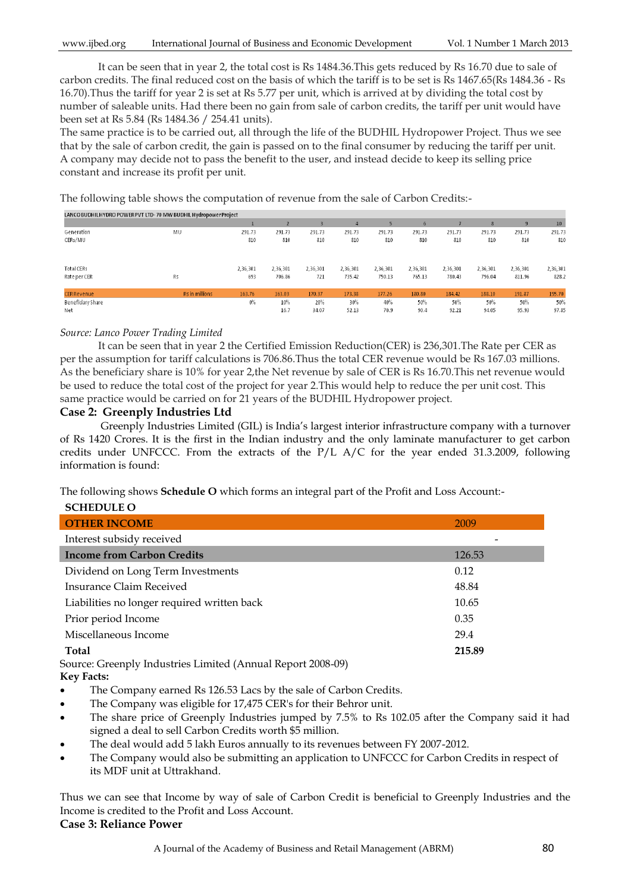It can be seen that in year 2, the total cost is Rs 1484.36.This gets reduced by Rs 16.70 due to sale of carbon credits. The final reduced cost on the basis of which the tariff is to be set is Rs 1467.65(Rs 1484.36 - Rs 16.70).Thus the tariff for year 2 is set at Rs 5.77 per unit, which is arrived at by dividing the total cost by number of saleable units. Had there been no gain from sale of carbon credits, the tariff per unit would have been set at Rs 5.84 (Rs 1484.36 / 254.41 units).

The same practice is to be carried out, all through the life of the BUDHIL Hydropower Project. Thus we see that by the sale of carbon credit, the gain is passed on to the final consumer by reducing the tariff per unit. A company may decide not to pass the benefit to the user, and instead decide to keep its selling price constant and increase its profit per unit.

The following table shows the computation of revenue from the sale of Carbon Credits:-

| LANCO BUDHIL HYDRO POWER PVT LTD-70 MW BUDHIL Hydropower Project |                |          |          |          |          |          |              |          |              |          |                 |
|------------------------------------------------------------------|----------------|----------|----------|----------|----------|----------|--------------|----------|--------------|----------|-----------------|
|                                                                  |                |          |          |          |          |          | $\mathbf{a}$ |          | $\mathbf{8}$ | 9        | 10 <sup>°</sup> |
| Generation                                                       | MU             | 291.73   | 291.73   | 291.73   | 291.73   | 291.73   | 291.73       | 291.73   | 291.73       | 291.73   | 291.73          |
| CERs/MU                                                          |                | 810      | 810      | 810      | 810      | 810      | 810          | 810      | 810          | 810      | 810             |
|                                                                  |                |          |          |          |          |          |              |          |              |          |                 |
| Total CERs                                                       |                | 2,36,301 | 2,36,301 | 2,36,301 | 2,36,301 | 2,36,301 | 2,36,301     | 2,36,301 | 2,36,301     | 2,36,301 | 2,36,301        |
| Rate per CER                                                     | Rs             | 693      | 706.86   | 721      | 735.42   | 750.13   | 765.13       | 780.43   | 796.04       | 811.96   | 828.2           |
| <b>CER Revenue</b>                                               | Rs in millions | 163.76   | 163.03   | 170.37   | 173.38   | 177.26   | 180.80       | 184.42   | 188.10       | 191.87   | 195.70          |
| Beneficiary Share                                                |                | $0\%$    | 10%      | 20%      | 30%      | 40%      | 50%          | 50%      | 50%          | 50%      | 50%             |
| Net                                                              |                |          | 16.7     | 34.07    | 52.13    | 70.9     | 90.4         | 92.21    | 94.05        | 95.93    | 97.85           |

#### *Source: Lanco Power Trading Limited*

It can be seen that in year 2 the Certified Emission Reduction(CER) is 236,301.The Rate per CER as per the assumption for tariff calculations is 706.86.Thus the total CER revenue would be Rs 167.03 millions. As the beneficiary share is 10% for year 2,the Net revenue by sale of CER is Rs 16.70.This net revenue would be used to reduce the total cost of the project for year 2.This would help to reduce the per unit cost. This same practice would be carried on for 21 years of the BUDHIL Hydropower project.

### **Case 2: Greenply Industries Ltd**

Greenply Industries Limited (GIL) is India's largest interior infrastructure company with a turnover of Rs 1420 Crores. It is the first in the Indian industry and the only laminate manufacturer to get carbon credits under UNFCCC. From the extracts of the P/L A/C for the year ended 31.3.2009, following information is found:

The following shows **Schedule O** which forms an integral part of the Profit and Loss Account:-

| <b>SCHEDULE O</b>                                           |        |
|-------------------------------------------------------------|--------|
| <b>OTHER INCOME</b>                                         | 2009   |
| Interest subsidy received                                   |        |
| <b>Income from Carbon Credits</b>                           | 126.53 |
| Dividend on Long Term Investments                           | 0.12   |
| Insurance Claim Received                                    | 48.84  |
| Liabilities no longer required written back                 | 10.65  |
| Prior period Income                                         | 0.35   |
| Miscellaneous Income                                        | 29.4   |
| <b>Total</b>                                                | 215.89 |
| Source: Greenply Industries Limited (Annual Report 2008-09) |        |

# **Key Facts:**

- The Company earned Rs 126.53 Lacs by the sale of Carbon Credits.
- The Company was eligible for 17,475 CER's for their Behror unit.
- The share price of Greenply Industries jumped by 7.5% to Rs 102.05 after the Company said it had signed a deal to sell Carbon Credits worth \$5 million.
- The deal would add 5 lakh Euros annually to its revenues between FY 2007-2012.
- The Company would also be submitting an application to UNFCCC for Carbon Credits in respect of its MDF unit at Uttrakhand.

Thus we can see that Income by way of sale of Carbon Credit is beneficial to Greenply Industries and the Income is credited to the Profit and Loss Account.

# **Case 3: Reliance Power**